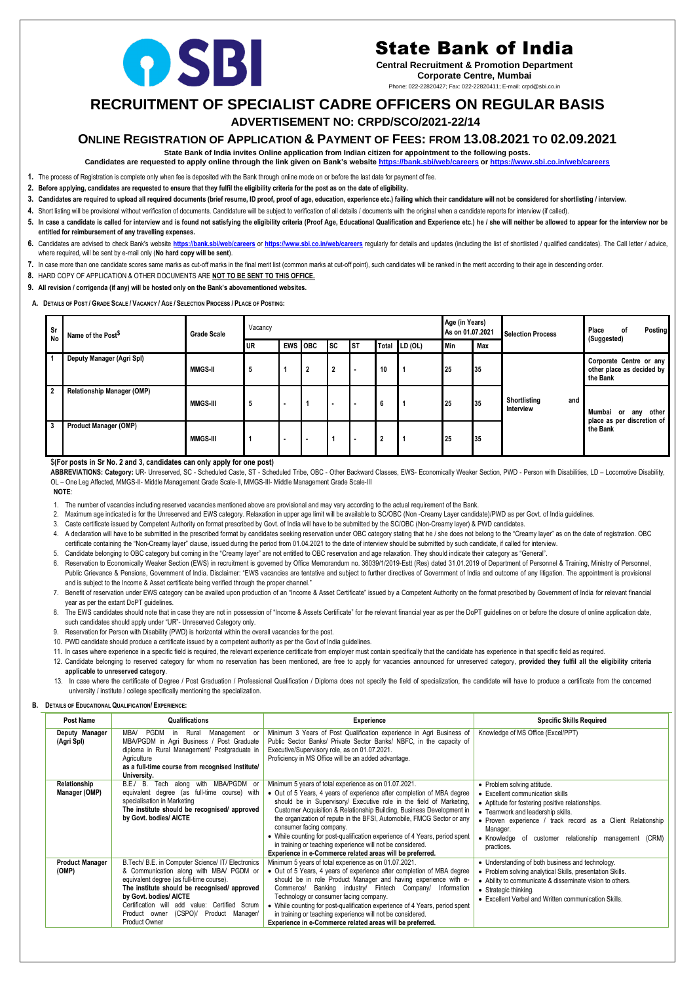## **RECRUITMENT OF SPECIALIST CADRE OFFICERS ON REGULAR BASIS**

 **ADVERTISEMENT NO: CRPD/SCO/2021-22/14** 

## **ONLINE REGISTRATION OF APPLICATION & PAYMENT OF FEES: FROM 13.08.2021 TO 02.09.2021**

**State Bank of India invites Online application from Indian citizen for appointment to the following posts.**

**Candidates are requested to apply online through the link given on Bank's website<https://bank.sbi/web/careers> or<https://www.sbi.co.in/web/careers>**

**1.** The process of Registration is complete only when fee is deposited with the Bank through online mode on or before the last date for payment of fee.

- **2. Before applying, candidates are requested to ensure that they fulfil the eligibility criteria for the post as on the date of eligibility.**
- 3. Candidates are required to upload all required documents (brief resume, ID proof, proof of age, education, experience etc.) failing which their candidature will not be considered for shortlisting / interview.
- **4.** Short listing will be provisional without verification of documents. Candidature will be subject to verification of all details / documents with the original when a candidate reports for interview (if called).
- 5. In case a candidate is called for interview and is found not satisfying the eligibility criteria (Proof Age, Educational Qualification and Experience etc.) he / she will neither be allowed to appear for the interview no **entitled for reimbursement of any travelling expenses.**
- 6. Candidates are advised to check Bank's website <https://bank.sbi/web/careers> or <https://www.sbi.co.in/web/careers> regularly for details and updates (including the list of shortlisted / qualified candidates). The Call let where required, will be sent by e-mail only (**No hard copy will be sent**).

ABBREVIATIONS: Category: UR- Unreserved, SC - Scheduled Caste, ST - Scheduled Tribe, OBC - Other Backward Classes, EWS- Economically Weaker Section, PWD - Person with Disabilities, LD – Locomotive Disability, OL – One Leg Affected, MMGS-II- Middle Management Grade Scale-II, MMGS-III- Middle Management Grade Scale-III

**7.** In case more than one candidate scores same marks as cut-off marks in the final merit list (common marks at cut-off point), such candidates will be ranked in the merit according to their age in descending order.

**8.** HARD COPY OF APPLICATION & OTHER DOCUMENTS ARE **NOT TO BE SENT TO THIS OFFICE.**

**9. All revision / corrigenda (if any) will be hosted only on the Bank's abovementioned websites.**

A. DETAILS OF POST / GRADE SCALE / VACANCY / AGE / SELECTION PROCESS / PLACE OF POSTING:

| Sr<br>No       | Name of the Post <sup>\$</sup>    | <b>Grade Scale</b> | Vacancy    |                |              |                |                |                | Age (in Years)<br>As on 01.07.2021 |           | <b>Selection Process</b> | Place<br><b>Posting</b><br>оf<br>(Suggested) |                                                                  |
|----------------|-----------------------------------|--------------------|------------|----------------|--------------|----------------|----------------|----------------|------------------------------------|-----------|--------------------------|----------------------------------------------|------------------------------------------------------------------|
|                |                                   |                    | <b>JUR</b> | EWS OBC        |              | <b>ISC</b>     | Ist            | Total          | $\ $ LD (OL)                       | Min       | Max                      |                                              |                                                                  |
|                | Deputy Manager (Agri Spl)         | <b>MMGS-II</b>     | 5          |                | $\mathbf{2}$ | $\overline{2}$ | $\blacksquare$ | 10             |                                    | 25        | 35                       |                                              | Corporate Centre or any<br>other place as decided by<br>the Bank |
| $\overline{2}$ | <b>Relationship Manager (OMP)</b> | <b>MMGS-III</b>    | 5          | $\blacksquare$ |              | ٠              |                | 6              |                                    | <b>25</b> | 135                      | Shortlisting<br>and<br><b>Interview</b>      | Mumbai<br>any other<br>or                                        |
| . 3            | <b>Product Manager (OMP)</b>      | <b>MMGS-III</b>    |            |                |              |                |                | $\overline{2}$ |                                    | <b>25</b> | 35                       |                                              | place as per discretion of<br>the Bank                           |

7. Benefit of reservation under EWS category can be availed upon production of an "Income & Asset Certificate" issued by a Competent Authority on the format prescribed by Government of India for relevant financial year as per the extant DoPT guidelines.

\$**(For posts in Sr No. 2 and 3, candidates can only apply for one post)**

**NOTE**:

- 1. The number of vacancies including reserved vacancies mentioned above are provisional and may vary according to the actual requirement of the Bank.
- 2. Maximum age indicated is for the Unreserved and EWS category. Relaxation in upper age limit will be available to SC/OBC (Non -Creamy Layer candidate)/PWD as per Govt. of India guidelines.

3. Caste certificate issued by Competent Authority on format prescribed by Govt. of India will have to be submitted by the SC/OBC (Non-Creamy layer) & PWD candidates.

4. A declaration will have to be submitted in the prescribed format by candidates seeking reservation under OBC category stating that he / she does not belong to the "Creamy layer" as on the date of registration. OBC certificate containing the "Non-Creamy layer" clause, issued during the period from 01.04.2021 to the date of interview should be submitted by such candidate, if called for interview.

5. Candidate belonging to OBC category but coming in the "Creamy layer" are not entitled to OBC reservation and age relaxation. They should indicate their category as "General".

6. Reservation to Economically Weaker Section (EWS) in recruitment is governed by Office Memorandum no. 36039/1/2019-Estt (Res) dated 31.01.2019 of Department of Personnel & Training, Ministry of Personnel, Public Grievance & Pensions, Government of India. Disclaimer: "EWS vacancies are tentative and subject to further directives of Government of India and outcome of any litigation. The appointment is provisional and is subject to the Income & Asset certificate being verified through the proper channel."

- 8. The EWS candidates should note that in case they are not in possession of "Income & Assets Certificate" for the relevant financial year as per the DoPT guidelines on or before the closure of online application date, such candidates should apply under "UR"- Unreserved Category only.
- 9. Reservation for Person with Disability (PWD) is horizontal within the overall vacancies for the post.
- 10. PWD candidate should produce a certificate issued by a competent authority as per the Govt of India guidelines.
- 11. In cases where experience in a specific field is required, the relevant experience certificate from employer must contain specifically that the candidate has experience in that specific field as required.
- 12. Candidate belonging to reserved category for whom no reservation has been mentioned, are free to apply for vacancies announced for unreserved category, **provided they fulfil all the eligibility criteria applicable to unreserved category**.
- 13. In case where the certificate of Degree / Post Graduation / Professional Qualification / Diploma does not specify the field of specialization, the candidate will have to produce a certificate from the concerned university / institute / college specifically mentioning the specialization.

## **B. DETAILS OF EDUCATIONAL QUALIFICATION/ EXPERIENCE:**

| Post Name                       | <b>Qualifications</b>                                                                                                                                                                                                                                                                                                                 | <b>Experience</b>                                                                                                                                                                                                                                                                                                                                                                                                                                                                                                                                                                               | <b>Specific Skills Required</b>                                                                                                                                                                                                                                                                            |
|---------------------------------|---------------------------------------------------------------------------------------------------------------------------------------------------------------------------------------------------------------------------------------------------------------------------------------------------------------------------------------|-------------------------------------------------------------------------------------------------------------------------------------------------------------------------------------------------------------------------------------------------------------------------------------------------------------------------------------------------------------------------------------------------------------------------------------------------------------------------------------------------------------------------------------------------------------------------------------------------|------------------------------------------------------------------------------------------------------------------------------------------------------------------------------------------------------------------------------------------------------------------------------------------------------------|
| Deputy Manager<br>(Agri Spl)    | PGDM<br>in Rural<br>Management or<br>MBA/<br>MBA/PGDM in Agri Business / Post Graduate<br>diploma in Rural Management/ Postgraduate in<br>Agriculture<br>as a full-time course from recognised Institute/<br>University.                                                                                                              | Minimum 3 Years of Post Qualification experience in Agri Business of<br>Public Sector Banks/ Private Sector Banks/ NBFC, in the capacity of<br>Executive/Supervisory role, as on 01.07.2021.<br>Proficiency in MS Office will be an added advantage.                                                                                                                                                                                                                                                                                                                                            | Knowledge of MS Office (Excel/PPT)                                                                                                                                                                                                                                                                         |
| Relationship<br>Manager (OMP)   | B.E./ B. Tech along with MBA/PGDM or<br>equivalent degree (as full-time course) with<br>specialisation in Marketing<br>The institute should be recognised/ approved<br>by Govt. bodies/ AICTE                                                                                                                                         | Minimum 5 years of total experience as on 01.07.2021.<br>• Out of 5 Years, 4 years of experience after completion of MBA degree<br>should be in Supervisory/ Executive role in the field of Marketing,<br>Customer Acquisition & Relationship Building, Business Development in<br>the organization of repute in the BFSI, Automobile, FMCG Sector or any<br>consumer facing company.<br>• While counting for post-qualification experience of 4 Years, period spent<br>in training or teaching experience will not be considered.<br>Experience in e-Commerce related areas will be preferred. | • Problem solving attitude.<br>• Excellent communication skills<br>• Aptitude for fostering positive relationships.<br>• Teamwork and leadership skills.<br>• Proven experience / track record as a Client Relationship<br>Manager.<br>• Knowledge of customer relationship management (CRM)<br>practices. |
| <b>Product Manager</b><br>(OMP) | B.Tech/ B.E. in Computer Science/ IT/ Electronics<br>& Communication along with MBA/ PGDM or<br>equivalent degree (as full-time course).<br>The institute should be recognised/ approved<br>by Govt. bodies/ AICTE<br>Certification will add value: Certified Scrum<br>Product owner (CSPO)/ Product Manager/<br><b>Product Owner</b> | Minimum 5 years of total experience as on 01.07.2021.<br>• Out of 5 Years, 4 years of experience after completion of MBA degree<br>should be in role Product Manager and having experience with e-<br>Commerce/ Banking industry/ Fintech Company/ Information<br>Technology or consumer facing company.<br>• While counting for post-qualification experience of 4 Years, period spent<br>in training or teaching experience will not be considered.<br>Experience in e-Commerce related areas will be preferred.                                                                              | • Understanding of both business and technology.<br>• Problem solving analytical Skills, presentation Skills.<br>• Ability to communicate & disseminate vision to others.<br>• Strategic thinking.<br>• Excellent Verbal and Written communication Skills.                                                 |

# **OSBI**

# State Bank of India

**Central Recruitment & Promotion Department Corporate Centre, Mumbai** Phone: 022-22820427; Fax: 022-22820411; E-mail: crpd@sbi.co.in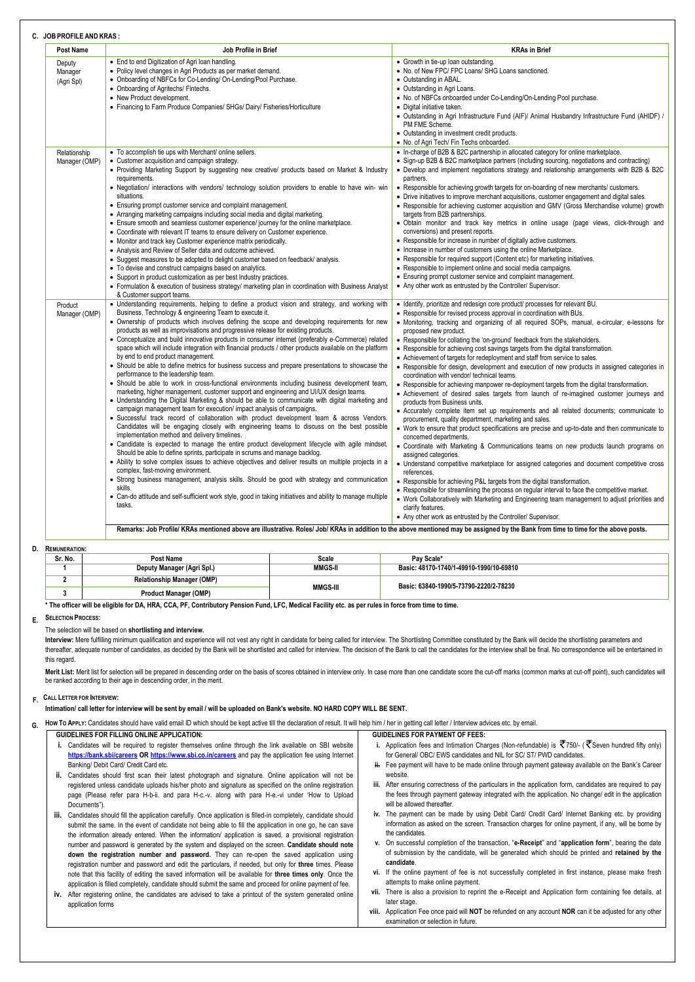| <b>Post Name</b>                | Job Profile in Brief                                                                                                                                                                                                                                                                                                                                                                                                                                                                                                                                                                                                                                                                                                                                                                                                                                                                                                                                                                                                                                                                                                                                                                                                                                                                                                                                                                                                                                                                                                                                                                                                                                                                                                                                                                                                                            | <b>KRAs in Brief</b>                                                                                                                                                                                                                                                                                                                                                                                                                                                                                                                                                                                                                                                                                                                                                                                                                                                                                                                                                                                                                                                                                                                                                                                                                                                                                                                                                                                                                                                                                                                                                                                      |
|---------------------------------|-------------------------------------------------------------------------------------------------------------------------------------------------------------------------------------------------------------------------------------------------------------------------------------------------------------------------------------------------------------------------------------------------------------------------------------------------------------------------------------------------------------------------------------------------------------------------------------------------------------------------------------------------------------------------------------------------------------------------------------------------------------------------------------------------------------------------------------------------------------------------------------------------------------------------------------------------------------------------------------------------------------------------------------------------------------------------------------------------------------------------------------------------------------------------------------------------------------------------------------------------------------------------------------------------------------------------------------------------------------------------------------------------------------------------------------------------------------------------------------------------------------------------------------------------------------------------------------------------------------------------------------------------------------------------------------------------------------------------------------------------------------------------------------------------------------------------------------------------|-----------------------------------------------------------------------------------------------------------------------------------------------------------------------------------------------------------------------------------------------------------------------------------------------------------------------------------------------------------------------------------------------------------------------------------------------------------------------------------------------------------------------------------------------------------------------------------------------------------------------------------------------------------------------------------------------------------------------------------------------------------------------------------------------------------------------------------------------------------------------------------------------------------------------------------------------------------------------------------------------------------------------------------------------------------------------------------------------------------------------------------------------------------------------------------------------------------------------------------------------------------------------------------------------------------------------------------------------------------------------------------------------------------------------------------------------------------------------------------------------------------------------------------------------------------------------------------------------------------|
| Deputy<br>Manager<br>(Agri Spl) | • End to end Digitization of Agri loan handling.<br>• Policy level changes in Agri Products as per market demand.<br>• Onboarding of NBFCs for Co-Lending/ On-Lending/Pool Purchase.<br>• Onboarding of Agritechs/ Fintechs.<br>• New Product development.<br>• Financing to Farm Produce Companies/ SHGs/ Dairy/ Fisheries/Horticulture                                                                                                                                                                                                                                                                                                                                                                                                                                                                                                                                                                                                                                                                                                                                                                                                                                                                                                                                                                                                                                                                                                                                                                                                                                                                                                                                                                                                                                                                                                        | • Growth in tie-up loan outstanding.<br>• No. of New FPC/ FPC Loans/ SHG Loans sanctioned.<br>• Outstanding in ABAL.<br>• Outstanding in Agri Loans.<br>• No. of NBFCs onboarded under Co-Lending/On-Lending Pool purchase.<br>• Digital initiative taken.<br>• Outstanding in Agri Infrastructure Fund (AIF)/ Animal Husbandry Infrastructure Fund (AHIDF) /<br>PM FME Scheme.<br>• Outstanding in investment credit products.                                                                                                                                                                                                                                                                                                                                                                                                                                                                                                                                                                                                                                                                                                                                                                                                                                                                                                                                                                                                                                                                                                                                                                           |
|                                 |                                                                                                                                                                                                                                                                                                                                                                                                                                                                                                                                                                                                                                                                                                                                                                                                                                                                                                                                                                                                                                                                                                                                                                                                                                                                                                                                                                                                                                                                                                                                                                                                                                                                                                                                                                                                                                                 | • No. of Agri Tech/ Fin Techs onboarded.                                                                                                                                                                                                                                                                                                                                                                                                                                                                                                                                                                                                                                                                                                                                                                                                                                                                                                                                                                                                                                                                                                                                                                                                                                                                                                                                                                                                                                                                                                                                                                  |
| Relationship<br>Manager (OMP)   | • To accomplish tie ups with Merchant/ online sellers.<br>• Customer acquisition and campaign strategy.<br>• Providing Marketing Support by suggesting new creative/ products based on Market & Industry<br>requirements.<br>. Negotiation/ interactions with vendors/ technology solution providers to enable to have win- win<br>situations.<br>• Ensuring prompt customer service and complaint management.<br>• Arranging marketing campaigns including social media and digital marketing.<br>• Ensure smooth and seamless customer experience/ journey for the online marketplace.<br>• Coordinate with relevant IT teams to ensure delivery on Customer experience.<br>• Monitor and track key Customer experience matrix periodically.<br>• Analysis and Review of Seller data and outcome achieved.<br>• Suggest measures to be adopted to delight customer based on feedback/ analysis.<br>• To devise and construct campaigns based on analytics.<br>• Support in product customization as per best Industry practices.<br>• Formulation & execution of business strategy/ marketing plan in coordination with Business Analyst                                                                                                                                                                                                                                                                                                                                                                                                                                                                                                                                                                                                                                                                                                      | • In-charge of B2B & B2C partnership in allocated category for online marketplace.<br>• Sign-up B2B & B2C marketplace partners (including sourcing, negotiations and contracting)<br>• Develop and implement negotiations strategy and relationship arrangements with B2B & B2C<br>partners.<br>• Responsible for achieving growth targets for on-boarding of new merchants/customers.<br>• Drive initiatives to improve merchant acquisitions, customer engagement and digital sales.<br>• Responsible for achieving customer acquisition and GMV (Gross Merchandise volume) growth<br>targets from B2B partnerships.<br>· Obtain monitor and track key metrics in online usage (page views, click-through and<br>conversions) and present reports.<br>• Responsible for increase in number of digitally active customers.<br>• Increase in number of customers using the online Marketplace.<br>• Responsible for required support (Content etc) for marketing initiatives.<br>• Responsible to implement online and social media campaigns.<br>• Ensuring prompt customer service and complaint management.<br>• Any other work as entrusted by the Controller/ Supervisor.                                                                                                                                                                                                                                                                                                                                                                                                                            |
| Product<br>Manager (OMP)        | & Customer support teams.<br>• Understanding requirements, helping to define a product vision and strategy, and working with<br>Business, Technology & engineering Team to execute it.<br>• Ownership of products which involves defining the scope and developing requirements for new<br>products as well as improvisations and progressive release for existing products.<br>• Conceptualize and build innovative products in consumer internet (preferably e-Commerce) related<br>space which will include integration with financial products / other products available on the platform<br>by end to end product management.<br>• Should be able to define metrics for business success and prepare presentations to showcase the<br>performance to the leadership team.<br>• Should be able to work in cross-functional environments including business development team,<br>marketing, higher management, customer support and engineering and UI/UX design teams.<br>• Understanding the Digital Marketing & should be able to communicate with digital marketing and<br>campaign management team for execution/ impact analysis of campaigns.<br>· Successful track record of collaboration with product development team & across Vendors.<br>Candidates will be engaging closely with engineering teams to discuss on the best possible<br>implementation method and delivery timelines.<br>• Candidate is expected to manage the entire product development lifecycle with agile mindset.<br>Should be able to define sprints, participate in scrums and manage backlog.<br>• Ability to solve complex issues to achieve objectives and deliver results on multiple projects in a<br>complex, fast-moving environment.<br>• Strong business management, analysis skills. Should be good with strategy and communication<br>skills. | • Identify, prioritize and redesign core product/ processes for relevant BU.<br>• Responsible for revised process approval in coordination with BUs.<br>• Monitoring, tracking and organizing of all required SOPs, manual, e-circular, e-lessons for<br>proposed new product.<br>• Responsible for collating the 'on-ground' feedback from the stakeholders.<br>• Responsible for achieving cost savings targets from the digital transformation.<br>• Achievement of targets for redeployment and staff from service to sales.<br>• Responsible for design, development and execution of new products in assigned categories in<br>coordination with vendor/ technical teams.<br>• Responsible for achieving manpower re-deployment targets from the digital transformation.<br>• Achievement of desired sales targets from launch of re-imagined customer journeys and<br>products from Business units.<br>• Accurately complete item set up requirements and all related documents; communicate to<br>procurement, quality department, marketing and sales.<br>• Work to ensure that product specifications are precise and up-to-date and then communicate to<br>concerned departments.<br>• Coordinate with Marketing & Communications teams on new products launch programs on<br>assigned categories.<br>• Understand competitive marketplace for assigned categories and document competitive cross<br>references.<br>• Responsible for achieving P&L targets from the digital transformation.<br>• Responsible for streamlining the process on regular interval to face the competitive market. |

Interview: Mere fulfilling minimum qualification and experience will not vest any right in candidate for being called for interview. The Shortlisting Committee constituted by the Bank will decide the shortlisting parameter thereafter, adequate number of candidates, as decided by the Bank will be shortlisted and called for interview. The decision of the Bank to call the candidates for the interview shall be final. No correspondence will be en this regard.

Merit List: Merit list for selection will be prepared in descending order on the basis of scores obtained in interview only. In case more than one candidate score the cut-off marks (common marks at cut-off point), such can be ranked according to their age in descending order, in the merit.

**G.** How To APPLY: Candidates should have valid email ID which should be kept active till the declaration of result. It will help him / her in getting call letter / Interview advices etc. by email.

- **i.** Application fees and Intimation Charges (Non-refundable) is  $\vec{\tau}$  750/- ( $\vec{\tau}$  Seven hundred fifty only) for General/ OBC/ EWS candidates and NIL for SC/ ST/ PWD candidates.
- ii. Fee payment will have to be made online through payment gateway available on the Bank's Career website.
- **iii.** After ensuring correctness of the particulars in the application form, candidates are required to pay the fees through payment gateway integrated with the application. No change/ edit in the application will be allowed thereafter.
- **iv.** The payment can be made by using Debit Card/ Credit Card/ Internet Banking etc. by providing information as asked on the screen. Transaction charges for online payment, if any, will be borne by the candidates.
- **v.** On successful completion of the transaction, "**e-Receipt**" and "**application form**", bearing the date of submission by the candidate, will be generated which should be printed and **retained by the candidate**.
- **vi.** If the online payment of fee is not successfully completed in first instance, please make fresh attempts to make online payment.
- **vii.** There is also a provision to reprint the e-Receipt and Application form containing fee details, at later stage.
- **viii.** Application Fee once paid will **NOT** be refunded on any account **NOR** can it be adjusted for any other examination or selection in future.

### **D. REMUNERATION:**

| Sr. No. | Post Name                         | Scale           | Pav Scale*                              |  |
|---------|-----------------------------------|-----------------|-----------------------------------------|--|
|         | Deputy Manager (Agri Spl.)        | <b>MMGS-II</b>  | Basic: 48170-1740/1-49910-1990/10-69810 |  |
|         | <b>Relationship Manager (OMP)</b> | <b>MMGS-III</b> | Basic: 63840-1990/5-73790-2220/2-78230  |  |
|         | <b>Product Manager (OMP)</b>      |                 |                                         |  |

**\* The officer will be eligible for DA, HRA, CCA, PF, Contributory Pension Fund, LFC, Medical Facility etc. as per rules in force from time to time.**

#### **E. SELECTION PROCESS:**

The selection will be based on **shortlisting and interview.**

#### **F. CALL LETTER FOR INTERVIEW:**

**Intimation/ call letter for interview will be sent by email / will be uploaded on Bank's website. NO HARD COPY WILL BE SENT.**

| <b>GUIDELINES FOR PAYMENT OF FEES</b><br>LICATION:<br><b>FLINES FOR FILL</b><br><b>ONLINE</b><br>LING<br><b>APP</b><br><b>GUIDEL</b> |
|--------------------------------------------------------------------------------------------------------------------------------------|
|--------------------------------------------------------------------------------------------------------------------------------------|

- **i.** Candidates will be required to register themselves online through the link available on SBI website **<https://bank.sbi/careers> OR <https://www.sbi.co.in/careers>** and pay the application fee using Internet Banking/ Debit Card/ Credit Card etc.
- **ii.** Candidates should first scan their latest photograph and signature. Online application will not be registered unless candidate uploads his/her photo and signature as specified on the online registration page (Please refer para H-b-ii. and para H-c.-v. along with para H-e.-vi under 'How to Upload Documents").
- **iii.** Candidates should fill the application carefully. Once application is filled-in completely, candidate should submit the same. In the event of candidate not being able to fill the application in one go, he can save the information already entered. When the information/ application is saved, a provisional registration number and password is generated by the system and displayed on the screen. **Candidate should note down the registration number and password.** They can re-open the saved application using registration number and password and edit the particulars, if needed, but only for **three** times. Please note that this facility of editing the saved information will be available for **three times only**. Once the application is filled completely, candidate should submit the same and proceed for online payment of fee.
- **iv.** After registering online, the candidates are advised to take a printout of the system generated online application forms